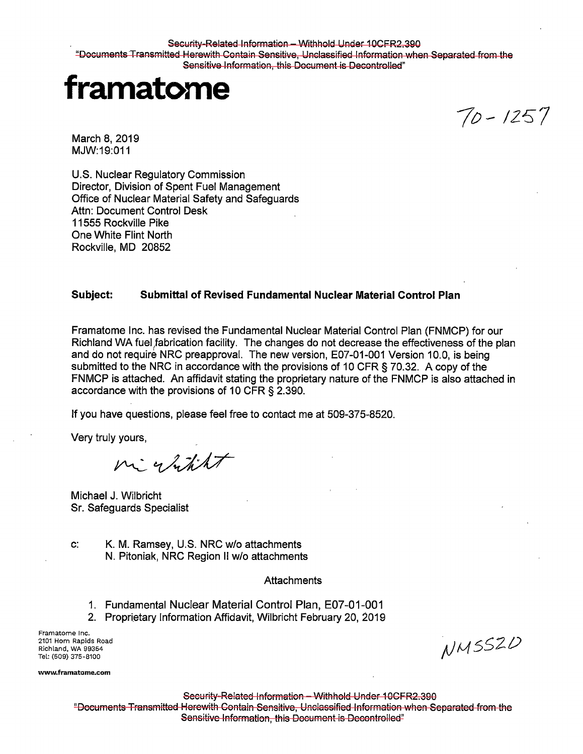Security-Related Information - Withhold Under 10CFR2.390 "Documents Transmitted Herewith Contain Sensitive, Unclassified Information when Separated from the Sensitive Information, this Document is Decontrolled"



*7o-* IZ57

March 8, 2019 MJW:19:011

U.S. Nuclear Regulatory Commission Director, Division of Spent Fuel Management Office of Nuclear Material Safety and Safeguards Attn: Document Control Desk 11555 Rockville Pike One White Flint North Rockville, MD 20852

## **Subject: Submittal of Revised Fundamental Nuclear Material Control Plan**

Framatome Inc. has revised the Fundamental Nuclear Material Control Plan (FNMCP) for our Richland WA fuel fabrication facility. The changes do not decrease the effectiveness of the plan and do not require NRC preapproval. The new version, E07-01-001 Version 10.0, is being submitted to the NRC in accordance with the provisions of 10 CFR § 70.32. A copy of the FNMCP is attached. An affidavit stating the proprietary nature of the FNMCP is also attached in accordance with the provisions of 10 CFR § 2.390.

If you have questions, please feel free to contact me at 509-375-8520.

Very truly yours,

night

Michael J. Wilbricht Sr. Safeguards Specialist

c: K. M. Ramsey, U.S. NRC w/o attachments N. Pitoniak, NRC Region II w/o attachments

## **Attachments**

- 1. Fundamental Nuclear Material Control Plan, E0?-01-001
- 2. Proprietary Information Affidavit, Wilbricht February 20, 2019

Framatome Inc. 2101 Horn Rapids Road Richland, WA 99354 Tel: (509) 375-8100

**www.framatome.com** 

NMSSZD

Security-Related Information - Withhold Under 10CFR2.390 "Documents Transmitted Herewith Contain Sensitive, Unclassified Information when Separated from the Sensitive Information, this Document is Decontrolled"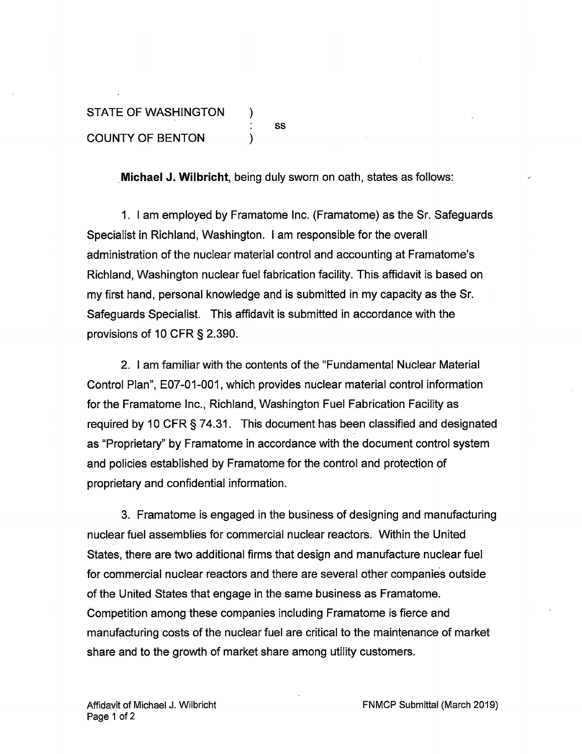## STATE OF WASHINGTON ) ÷ ss COUNTY OF BENTON )

**.Michael J. Wilbricht,** being duly sworn on oath, states as follows:

1. I am employed by Framatome Inc. (Framatome) as the Sr. Safeguards Specialist in Richland, Washington. I am responsible for the overall administration of the nuclear material control and accounting at Framatome's Richland, Washington nuclear fuel fabrication facility. This affidavit is based on my first hand, personal knowledge and is submitted in my capacity as the Sr. Safeguards Specialist. This affidavit is submitted in accordance with the provisions of 10 CFR § 2.390.

2. I am familiar with the contents of the "Fundamental Nuclear Material Control Plan", E07-01-001, which provides nuclear material control information for the Framatome Inc., Richland, Washington Fuel Fabrication Facility as required by 10 CFR § 74.31. This document has been classified and designated as "Proprietary" by Framatome in accordance with the document control system and policies established by Framatome for the control and protection of proprietary and confidential information.

3. Framatome is engaged in the business of designing and manufacturing nuclear fuel assemblies for commercial nuclear reactors. Within the United States, there are two additional firms that design and manufacture nuclear fuel for commercial nuclear reactors and there are several other companies outside of the United States that engage in the same business as Framatome. Competition among these companies including Framatome is fierce and manufacturing costs of the nuclear fuel are critical to the maintenance of market share and to the growth of market share among utility customers.